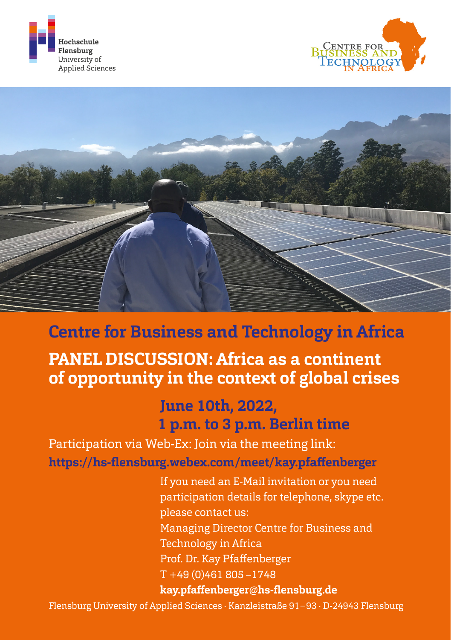





## **Centre for Business and Technology in Africa**

## **PANEL DISCUSSION: Africa as a continent of opportunity in the context of global crises**

## **June 10th, 2022, 1 p.m. to 3 p.m. Berlin time**

Participation via Web-Ex: Join via the meeting link: **[https://hs-flensburg.webex.com/meet/kay.pfaffenberger](https://hs-flensburg.webex.com/meet/kay.pfaffenberger )**

> If you need an E-Mail invitation or you need participation details for telephone, skype etc. please contact us: Managing Director Centre for Business and Technology in Africa Prof. Dr. Kay Pfaffenberger T +49 (0)461 805 –1748  **[kay.pfaffenberger@hs-flensburg.de](mailto:kay.pfaffenberger%40hs-flensburg.de?subject=)**

Flensburg University of Applied Sciences · Kanzleistraße 91−93 · D-24943 Flensburg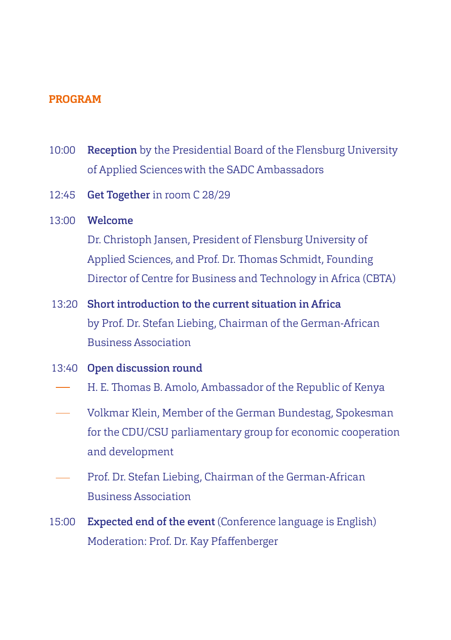## **PROGRAM**

- 10:00 Reception by the Presidential Board of the Flensburg University of Applied Scienceswith the SADC Ambassadors
- 12:45 Get Together in room C 28/29
- 13:00 Welcome

Dr. Christoph Jansen, President of Flensburg University of Applied Sciences, and Prof. Dr. Thomas Schmidt, Founding Director of Centre for Business and Technology in Africa (CBTA)

- 13:20 Short introduction to the current situation in Africa by Prof. Dr. Stefan Liebing, Chairman of the German-African Business Association
- 13:40 Open discussion round
- H. E. Thomas B. Amolo, Ambassador of the Republic of Kenya
- Volkmar Klein, Member of the German Bundestag, Spokesman for the CDU/CSU parliamentary group for economic cooperation and development
- Prof. Dr. Stefan Liebing, Chairman of the German-African Business Association
- 15:00 Expected end of the event (Conference language is English) Moderation: Prof. Dr. Kay Pfaffenberger